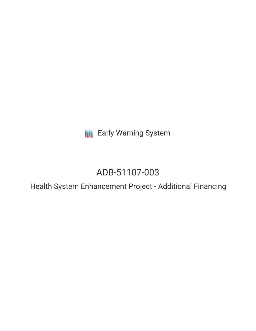**III** Early Warning System

# ADB-51107-003

Health System Enhancement Project - Additional Financing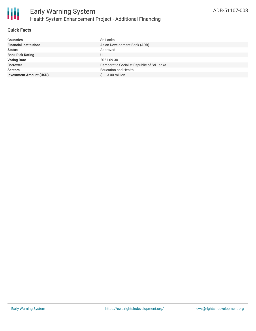## **Quick Facts**

| <b>Countries</b>               | Sri Lanka                                  |
|--------------------------------|--------------------------------------------|
| <b>Financial Institutions</b>  | Asian Development Bank (ADB)               |
| <b>Status</b>                  | Approved                                   |
| <b>Bank Risk Rating</b>        |                                            |
| <b>Voting Date</b>             | 2021-09-30                                 |
| <b>Borrower</b>                | Democratic Socialist Republic of Sri Lanka |
| <b>Sectors</b>                 | <b>Education and Health</b>                |
| <b>Investment Amount (USD)</b> | \$113.00 million                           |
|                                |                                            |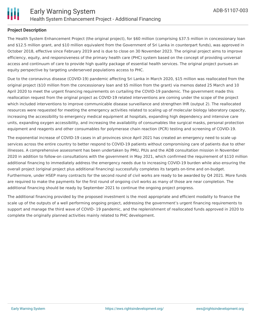## **Project Description**

The Health System Enhancement Project (the original project), for \$60 million (comprising \$37.5 million in concessionary loan and \$12.5 million grant, and \$10 million equivalent from the Government of Sri Lanka in counterpart funds), was approved in October 2018, effective since February 2019 and is due to close on 30 November 2023. The original project aims to improve efficiency, equity, and responsiveness of the primary health care (PHC) system based on the concept of providing universal access and continuum of care to provide high quality package of essential health services. The original project pursues an equity perspective by targeting underserved populations access to PHC.

Due to the coronavirus disease (COVID-19) pandemic affecting Sri Lanka in March 2020, \$15 million was reallocated from the original project (\$10 million from the concessionary loan and \$5 million from the grant) via memos dated 25 March and 10 April 2020 to meet the urgent financing requirements on curtailing the COVID-19 pandemic. The government made this reallocation request from the original project as COVID-19 related interventions are coming under the scope of the project which included interventions to improve communicable disease surveillance and strengthen IHR (output 2). The reallocated resources were requested for meeting the emergency activities related to scaling up of molecular biology laboratory capacity, increasing the accessibility to emergency medical equipment at hospitals, expanding high dependency and intensive care units, expanding oxygen accessibility, and increasing the availability of consumables like surgical masks, personal protection equipment and reagents and other consumables for polymerase chain reaction (PCR) testing and screening of COVID-19.

The exponential increase of COVID-19 cases in all provinces since April 2021 has created an emergency need to scale up services across the entire country to better respond to COVID-19 patients without compromising care of patients due to other illnesses. A comprehensive assessment has been undertaken by PMU, PIUs and the ADB consultation mission in November 2020 in addition to follow-on consultations with the government in May 2021, which confirmed the requirement of \$110 million additional financing to immediately address the emergency needs due to increasing COVID-19 burden while also ensuring the overall project (original project plus additional financing) successfully completes its targets on-time and on-budget. Furthermore, under HSEP many contracts for the second round of civil works are ready to be awarded by Q4 2021. More funds are required to make the payments for the first round of ongoing civil works as many of those are near completion. The additional financing should be ready by September 2021 to continue the ongoing project progress.

The additional financing provided by the proposed investment is the most appropriate and efficient modality to finance the scale up of the outputs of a well performing ongoing project, addressing the government's urgent financing requirements to support and manage the third wave of COVID- 19 pandemic, and the replenishment of reallocated funds approved in 2020 to complete the originally planned activities mainly related to PHC development.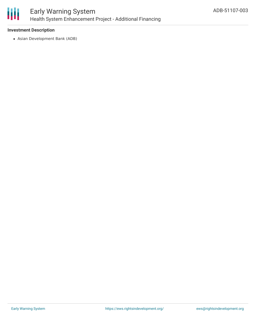

## **Investment Description**

Asian Development Bank (ADB)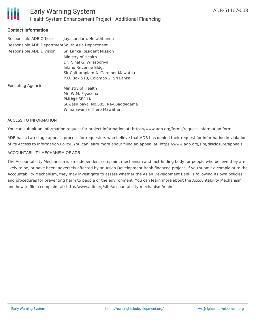

## **Contact Information**

| Responsible ADB Officer<br>Responsible ADB Department South Asia Department | Jayasundara, Herathbanda                                                                                                                                                          |
|-----------------------------------------------------------------------------|-----------------------------------------------------------------------------------------------------------------------------------------------------------------------------------|
| Responsible ADB Division                                                    | Sri Lanka Resident Mission<br>Ministry of Health<br>Dr. Nihal G. Wijesooriya<br>Inland Revenue Bldg.<br>Sir Chittamplam A. Gardiner Mawatha<br>P.O. Box 513, Colombo 2, Sri Lanka |
| <b>Executing Agencies</b>                                                   | Ministry of Health<br>Mr. W.M. Piyasena<br>PMU@HSEP.LK<br>Suwasiripaya, No.385, Rev.Baddegama<br>Wimalawansa Thero Mawatha                                                        |

#### ACCESS TO INFORMATION

You can submit an information request for project information at: https://www.adb.org/forms/request-information-form

ADB has a two-stage appeals process for requesters who believe that ADB has denied their request for information in violation of its Access to Information Policy. You can learn more about filing an appeal at: https://www.adb.org/site/disclosure/appeals

#### ACCOUNTABILITY MECHANISM OF ADB

The Accountability Mechanism is an independent complaint mechanism and fact-finding body for people who believe they are likely to be, or have been, adversely affected by an Asian Development Bank-financed project. If you submit a complaint to the Accountability Mechanism, they may investigate to assess whether the Asian Development Bank is following its own policies and procedures for preventing harm to people or the environment. You can learn more about the Accountability Mechanism and how to file a complaint at: http://www.adb.org/site/accountability-mechanism/main.